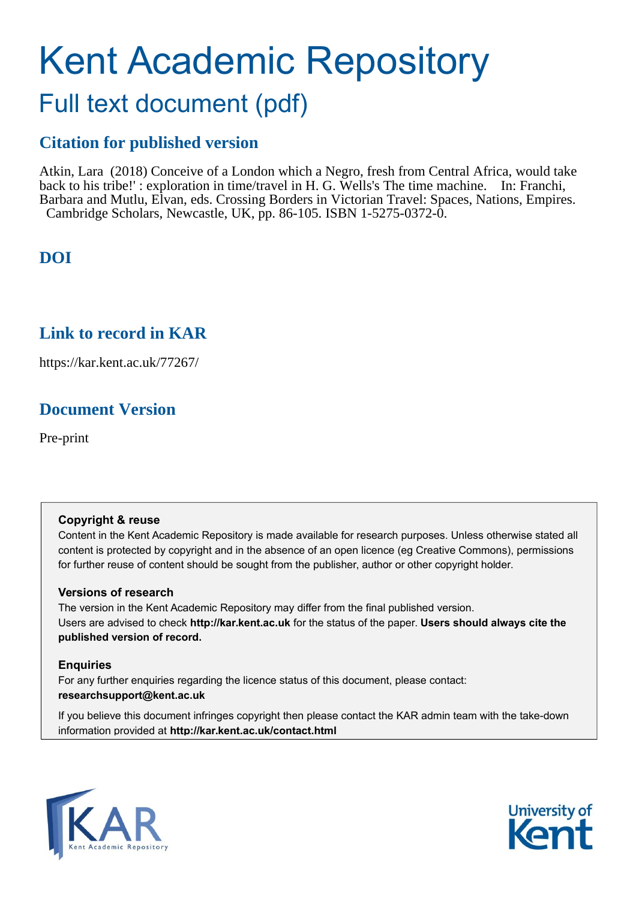# Kent Academic Repository

## Full text document (pdf)

## **Citation for published version**

Atkin, Lara (2018) Conceive of a London which a Negro, fresh from Central Africa, would take back to his tribe!' : exploration in time/travel in H. G. Wells's The time machine. In: Franchi, Barbara and Mutlu, Elvan, eds. Crossing Borders in Victorian Travel: Spaces, Nations, Empires. Cambridge Scholars, Newcastle, UK, pp. 86-105. ISBN 1-5275-0372-0.

## **DOI**

### **Link to record in KAR**

https://kar.kent.ac.uk/77267/

## **Document Version**

Pre-print

#### **Copyright & reuse**

Content in the Kent Academic Repository is made available for research purposes. Unless otherwise stated all content is protected by copyright and in the absence of an open licence (eg Creative Commons), permissions for further reuse of content should be sought from the publisher, author or other copyright holder.

#### **Versions of research**

The version in the Kent Academic Repository may differ from the final published version. Users are advised to check **http://kar.kent.ac.uk** for the status of the paper. **Users should always cite the published version of record.**

#### **Enquiries**

For any further enquiries regarding the licence status of this document, please contact: **researchsupport@kent.ac.uk**

If you believe this document infringes copyright then please contact the KAR admin team with the take-down information provided at **http://kar.kent.ac.uk/contact.html**



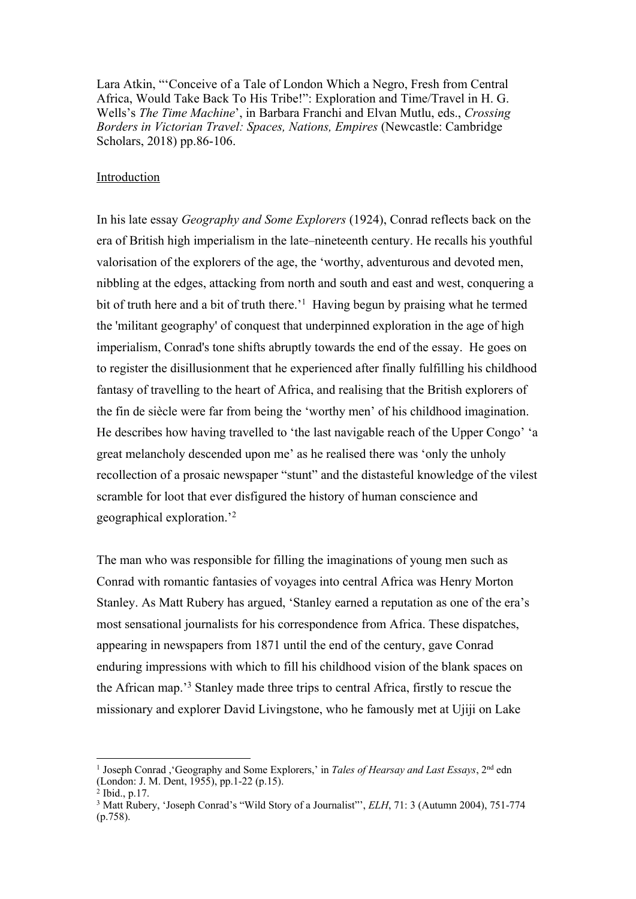Lara Atkin, "'Conceive of a Tale of London Which a Negro, Fresh from Central Africa, Would Take Back To His Tribe!": Exploration and Time/Travel in H. G. Wells's *The Time Machine*', in Barbara Franchi and Elvan Mutlu, eds., *Crossing Borders in Victorian Travel: Spaces, Nations, Empires* (Newcastle: Cambridge Scholars, 2018) pp.86-106.

#### Introduction

In his late essay *Geography and Some Explorers* (1924), Conrad reflects back on the era of British high imperialism in the late–nineteenth century. He recalls his youthful valorisation of the explorers of the age, the 'worthy, adventurous and devoted men, nibbling at the edges, attacking from north and south and east and west, conquering a bit of truth here and a bit of truth there.<sup>1</sup> Having begun by praising what he termed the 'militant geography' of conquest that underpinned exploration in the age of high imperialism, Conrad's tone shifts abruptly towards the end of the essay. He goes on to register the disillusionment that he experienced after finally fulfilling his childhood fantasy of travelling to the heart of Africa, and realising that the British explorers of the fin de siècle were far from being the 'worthy men' of his childhood imagination. He describes how having travelled to 'the last navigable reach of the Upper Congo' 'a great melancholy descended upon me' as he realised there was 'only the unholy recollection of a prosaic newspaper "stunt" and the distasteful knowledge of the vilest scramble for loot that ever disfigured the history of human conscience and geographical exploration.'2

The man who was responsible for filling the imaginations of young men such as Conrad with romantic fantasies of voyages into central Africa was Henry Morton Stanley. As Matt Rubery has argued, 'Stanley earned a reputation as one of the era's most sensational journalists for his correspondence from Africa. These dispatches, appearing in newspapers from 1871 until the end of the century, gave Conrad enduring impressions with which to fill his childhood vision of the blank spaces on the African map.'3 Stanley made three trips to central Africa, firstly to rescue the missionary and explorer David Livingstone, who he famously met at Ujiji on Lake

<sup>1</sup> Joseph Conrad ,'Geography and Some Explorers,' in *Tales of Hearsay and Last Essays*, 2nd edn (London: J. M. Dent, 1955), pp.1-22 (p.15).

<sup>2</sup> Ibid., p.17.

<sup>&</sup>lt;sup>3</sup> Matt Rubery, 'Joseph Conrad's "Wild Story of a Journalist"', *ELH*, 71: 3 (Autumn 2004), 751-774 (p.758).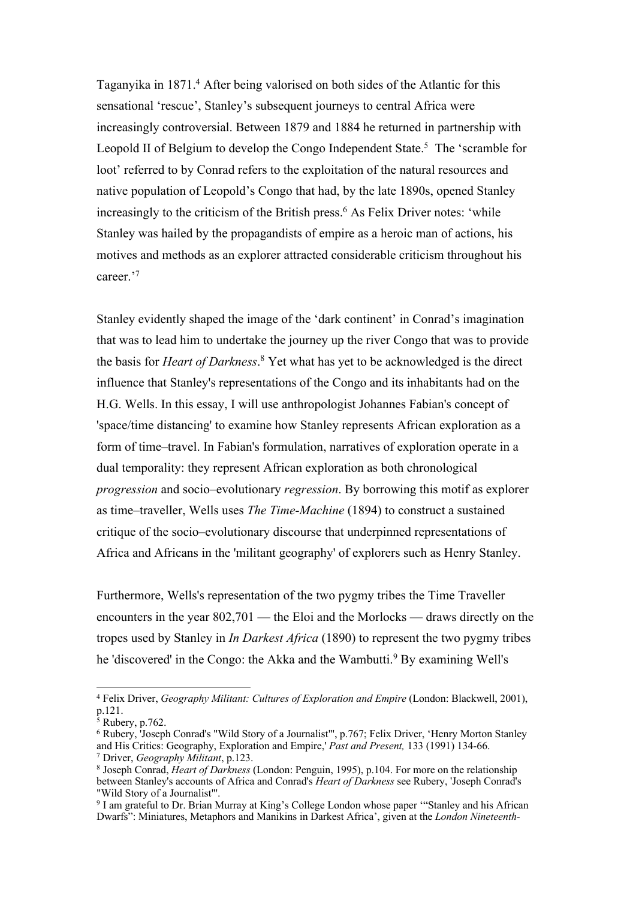Taganyika in 1871.<sup>4</sup> After being valorised on both sides of the Atlantic for this sensational 'rescue', Stanley's subsequent journeys to central Africa were increasingly controversial. Between 1879 and 1884 he returned in partnership with Leopold II of Belgium to develop the Congo Independent State.<sup>5</sup> The 'scramble for loot' referred to by Conrad refers to the exploitation of the natural resources and native population of Leopold's Congo that had, by the late 1890s, opened Stanley increasingly to the criticism of the British press.<sup>6</sup> As Felix Driver notes: 'while Stanley was hailed by the propagandists of empire as a heroic man of actions, his motives and methods as an explorer attracted considerable criticism throughout his career.'7

Stanley evidently shaped the image of the 'dark continent' in Conrad's imagination that was to lead him to undertake the journey up the river Congo that was to provide the basis for *Heart of Darkness*. <sup>8</sup> Yet what has yet to be acknowledged is the direct influence that Stanley's representations of the Congo and its inhabitants had on the H.G. Wells. In this essay, I will use anthropologist Johannes Fabian's concept of 'space/time distancing' to examine how Stanley represents African exploration as a form of time–travel. In Fabian's formulation, narratives of exploration operate in a dual temporality: they represent African exploration as both chronological *progression* and socio–evolutionary *regression*. By borrowing this motif as explorer as time–traveller, Wells uses *The Time-Machine* (1894) to construct a sustained critique of the socio–evolutionary discourse that underpinned representations of Africa and Africans in the 'militant geography' of explorers such as Henry Stanley.

Furthermore, Wells's representation of the two pygmy tribes the Time Traveller encounters in the year 802,701 — the Eloi and the Morlocks — draws directly on the tropes used by Stanley in *In Darkest Africa* (1890) to represent the two pygmy tribes he 'discovered' in the Congo: the Akka and the Wambutti.<sup>9</sup> By examining Well's

<sup>4</sup> Felix Driver, *Geography Militant: Cultures of Exploration and Empire* (London: Blackwell, 2001), p.121.

<sup>5</sup> Rubery, p.762.

<sup>6</sup> Rubery, 'Joseph Conrad's "Wild Story of a Journalist"', p.767; Felix Driver, 'Henry Morton Stanley and His Critics: Geography, Exploration and Empire,' *Past and Present,* 133 (1991) 134-66.

<sup>7</sup> Driver, *Geography Militant*, p.123.

<sup>8</sup> Joseph Conrad, *Heart of Darkness* (London: Penguin, 1995), p.104. For more on the relationship between Stanley's accounts of Africa and Conrad's *Heart of Darkness* see Rubery, 'Joseph Conrad's "Wild Story of a Journalist"'.

<sup>&</sup>lt;sup>9</sup> I am grateful to Dr. Brian Murray at King's College London whose paper "Stanley and his African Dwarfs": Miniatures, Metaphors and Manikins in Darkest Africa', given at the *London Nineteenth-*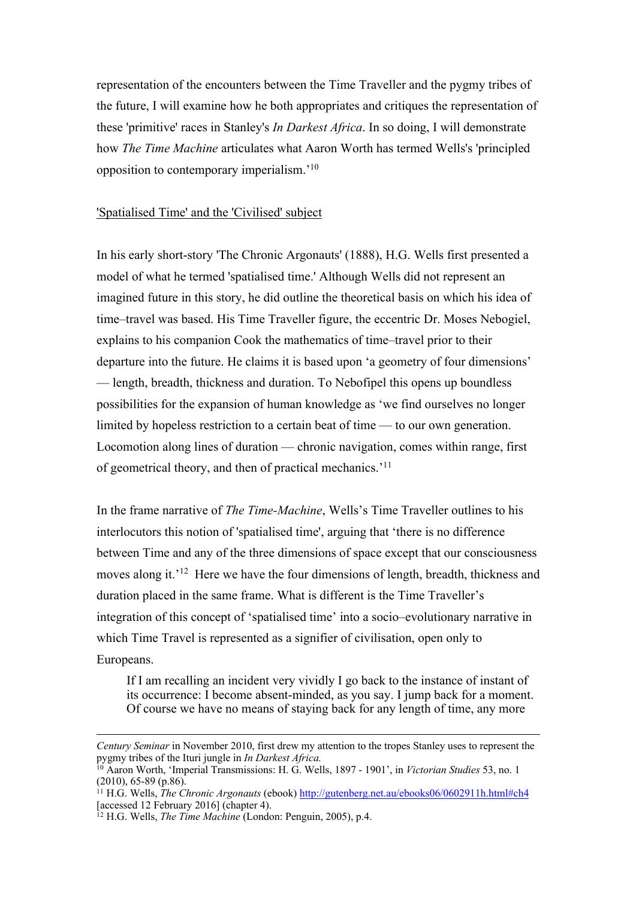representation of the encounters between the Time Traveller and the pygmy tribes of the future, I will examine how he both appropriates and critiques the representation of these 'primitive' races in Stanley's *In Darkest Africa*. In so doing, I will demonstrate how *The Time Machine* articulates what Aaron Worth has termed Wells's 'principled opposition to contemporary imperialism.'10

#### 'Spatialised Time' and the 'Civilised' subject

In his early short-story 'The Chronic Argonauts' (1888), H.G. Wells first presented a model of what he termed 'spatialised time.' Although Wells did not represent an imagined future in this story, he did outline the theoretical basis on which his idea of time–travel was based. His Time Traveller figure, the eccentric Dr. Moses Nebogiel, explains to his companion Cook the mathematics of time–travel prior to their departure into the future. He claims it is based upon 'a geometry of four dimensions' — length, breadth, thickness and duration. To Nebofipel this opens up boundless possibilities for the expansion of human knowledge as 'we find ourselves no longer limited by hopeless restriction to a certain beat of time — to our own generation. Locomotion along lines of duration — chronic navigation, comes within range, first of geometrical theory, and then of practical mechanics.'11

In the frame narrative of *The Time-Machine*, Wells's Time Traveller outlines to his interlocutors this notion of 'spatialised time', arguing that 'there is no difference between Time and any of the three dimensions of space except that our consciousness moves along it.<sup>'12</sup> Here we have the four dimensions of length, breadth, thickness and duration placed in the same frame. What is different is the Time Traveller's integration of this concept of 'spatialised time' into a socio–evolutionary narrative in which Time Travel is represented as a signifier of civilisation, open only to Europeans.

If I am recalling an incident very vividly I go back to the instance of instant of its occurrence: I become absent-minded, as you say. I jump back for a moment. Of course we have no means of staying back for any length of time, any more

<sup>&</sup>lt;u> 1989 - Johann Stoff, deutscher Stoffen und der Stoffen und der Stoffen und der Stoffen und der Stoffen und de</u> *Century Seminar* in November 2010, first drew my attention to the tropes Stanley uses to represent the pygmy tribes of the Ituri jungle in *In Darkest Africa.*

<sup>10</sup> Aaron Worth, 'Imperial Transmissions: H. G. Wells, 1897 - 1901', in *Victorian Studies* 53, no. 1 (2010), 65-89 (p.86).

<sup>11</sup> H.G. Wells, *The Chronic Argonauts* (ebook) http://gutenberg.net.au/ebooks06/0602911h.html#ch4 [accessed 12 February 2016] (chapter 4).

<sup>&</sup>lt;sup>12</sup> H.G. Wells, *The Time Machine* (London: Penguin, 2005), p.4.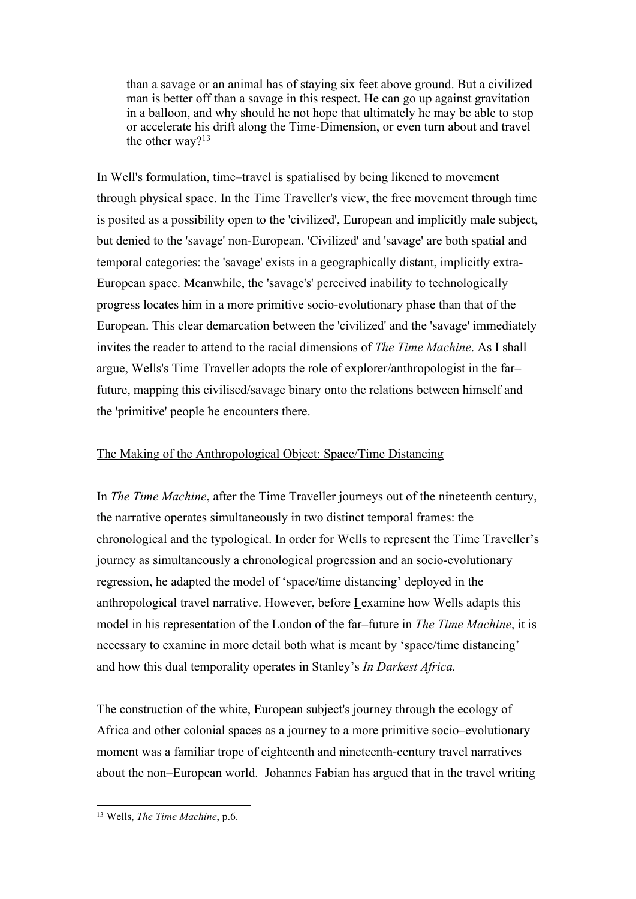than a savage or an animal has of staying six feet above ground. But a civilized man is better off than a savage in this respect. He can go up against gravitation in a balloon, and why should he not hope that ultimately he may be able to stop or accelerate his drift along the Time-Dimension, or even turn about and travel the other way? $13$ 

In Well's formulation, time–travel is spatialised by being likened to movement through physical space. In the Time Traveller's view, the free movement through time is posited as a possibility open to the 'civilized', European and implicitly male subject, but denied to the 'savage' non-European. 'Civilized' and 'savage' are both spatial and temporal categories: the 'savage' exists in a geographically distant, implicitly extra-European space. Meanwhile, the 'savage's' perceived inability to technologically progress locates him in a more primitive socio-evolutionary phase than that of the European. This clear demarcation between the 'civilized' and the 'savage' immediately invites the reader to attend to the racial dimensions of *The Time Machine*. As I shall argue, Wells's Time Traveller adopts the role of explorer/anthropologist in the far– future, mapping this civilised/savage binary onto the relations between himself and the 'primitive' people he encounters there.

#### The Making of the Anthropological Object: Space/Time Distancing

In *The Time Machine*, after the Time Traveller journeys out of the nineteenth century, the narrative operates simultaneously in two distinct temporal frames: the chronological and the typological. In order for Wells to represent the Time Traveller's journey as simultaneously a chronological progression and an socio-evolutionary regression, he adapted the model of 'space/time distancing' deployed in the anthropological travel narrative. However, before  $I$  examine how Wells adapts this model in his representation of the London of the far–future in *The Time Machine*, it is necessary to examine in more detail both what is meant by 'space/time distancing' and how this dual temporality operates in Stanley's *In Darkest Africa.*

The construction of the white, European subject's journey through the ecology of Africa and other colonial spaces as a journey to a more primitive socio–evolutionary moment was a familiar trope of eighteenth and nineteenth-century travel narratives about the non–European world. Johannes Fabian has argued that in the travel writing

 <sup>13</sup> Wells, *The Time Machine*, p.6.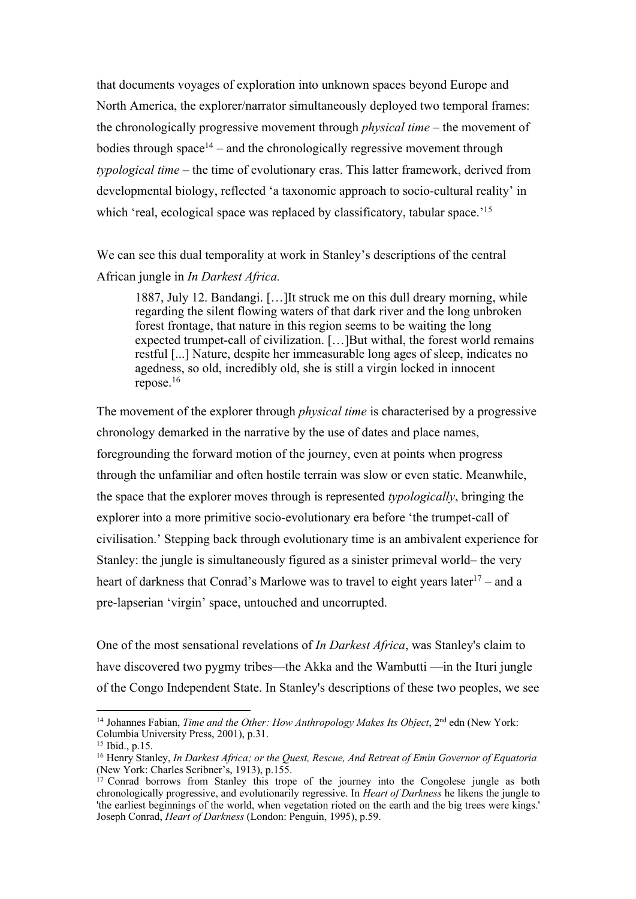that documents voyages of exploration into unknown spaces beyond Europe and North America, the explorer/narrator simultaneously deployed two temporal frames: the chronologically progressive movement through *physical time* – the movement of bodies through space<sup>14</sup> – and the chronologically regressive movement through *typological time* – the time of evolutionary eras. This latter framework, derived from developmental biology, reflected 'a taxonomic approach to socio-cultural reality' in which 'real, ecological space was replaced by classificatory, tabular space.<sup>'15</sup>

We can see this dual temporality at work in Stanley's descriptions of the central African jungle in *In Darkest Africa.* 

1887, July 12. Bandangi. […]It struck me on this dull dreary morning, while regarding the silent flowing waters of that dark river and the long unbroken forest frontage, that nature in this region seems to be waiting the long expected trumpet-call of civilization. […]But withal, the forest world remains restful [...] Nature, despite her immeasurable long ages of sleep, indicates no agedness, so old, incredibly old, she is still a virgin locked in innocent repose.16

The movement of the explorer through *physical time* is characterised by a progressive chronology demarked in the narrative by the use of dates and place names, foregrounding the forward motion of the journey, even at points when progress through the unfamiliar and often hostile terrain was slow or even static. Meanwhile, the space that the explorer moves through is represented *typologically*, bringing the explorer into a more primitive socio-evolutionary era before 'the trumpet-call of civilisation.' Stepping back through evolutionary time is an ambivalent experience for Stanley: the jungle is simultaneously figured as a sinister primeval world– the very heart of darkness that Conrad's Marlowe was to travel to eight years later<sup>17</sup> – and a pre-lapserian 'virgin' space, untouched and uncorrupted.

One of the most sensational revelations of *In Darkest Africa*, was Stanley's claim to have discovered two pygmy tribes—the Akka and the Wambutti —in the Ituri jungle of the Congo Independent State. In Stanley's descriptions of these two peoples, we see

<sup>&</sup>lt;sup>14</sup> Johannes Fabian, *Time and the Other: How Anthropology Makes Its Object*, 2<sup>nd</sup> edn (New York: Columbia University Press, 2001), p.31.

<sup>15</sup> Ibid., p.15.

<sup>16</sup> Henry Stanley, *In Darkest Africa; or the Quest, Rescue, And Retreat of Emin Governor of Equatoria*  (New York: Charles Scribner's, 1913), p.155.

<sup>&</sup>lt;sup>17</sup> Conrad borrows from Stanley this trope of the journey into the Congolese jungle as both chronologically progressive, and evolutionarily regressive. In *Heart of Darkness* he likens the jungle to 'the earliest beginnings of the world, when vegetation rioted on the earth and the big trees were kings.' Joseph Conrad, *Heart of Darkness* (London: Penguin, 1995), p.59.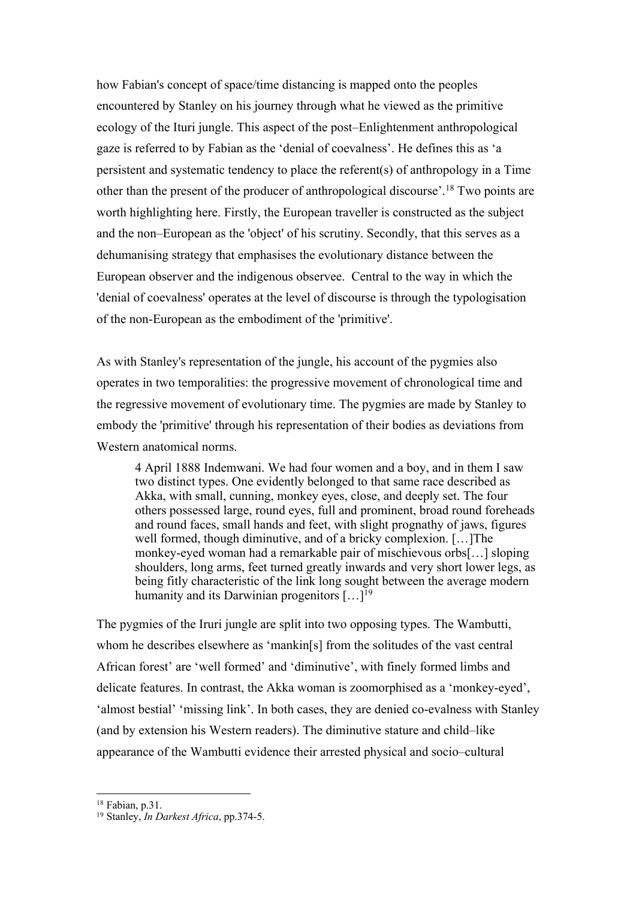how Fabian's concept of space/time distancing is mapped onto the peoples encountered by Stanley on his journey through what he viewed as the primitive ecology of the Ituri jungle. This aspect of the post–Enlightenment anthropological gaze is referred to by Fabian as the 'denial of coevalness'. He defines this as 'a persistent and systematic tendency to place the referent(s) of anthropology in a Time other than the present of the producer of anthropological discourse'.18 Two points are worth highlighting here. Firstly, the European traveller is constructed as the subject and the non–European as the 'object' of his scrutiny. Secondly, that this serves as a dehumanising strategy that emphasises the evolutionary distance between the European observer and the indigenous observee. Central to the way in which the 'denial of coevalness' operates at the level of discourse is through the typologisation of the non-European as the embodiment of the 'primitive'.

As with Stanley's representation of the jungle, his account of the pygmies also operates in two temporalities: the progressive movement of chronological time and the regressive movement of evolutionary time. The pygmies are made by Stanley to embody the 'primitive' through his representation of their bodies as deviations from Western anatomical norms.

4 April 1888 Indemwani. We had four women and a boy, and in them I saw two distinct types. One evidently belonged to that same race described as Akka, with small, cunning, monkey eyes, close, and deeply set. The four others possessed large, round eyes, full and prominent, broad round foreheads and round faces, small hands and feet, with slight prognathy of jaws, figures well formed, though diminutive, and of a bricky complexion. […]The monkey-eyed woman had a remarkable pair of mischievous orbs[…] sloping shoulders, long arms, feet turned greatly inwards and very short lower legs, as being fitly characteristic of the link long sought between the average modern humanity and its Darwinian progenitors  $[\dots]^{19}$ 

The pygmies of the Iruri jungle are split into two opposing types. The Wambutti, whom he describes elsewhere as 'mankin[s] from the solitudes of the vast central African forest' are 'well formed' and 'diminutive', with finely formed limbs and delicate features. In contrast, the Akka woman is zoomorphised as a 'monkey-eyed', 'almost bestial' 'missing link'. In both cases, they are denied co-evalness with Stanley (and by extension his Western readers). The diminutive stature and child–like appearance of the Wambutti evidence their arrested physical and socio–cultural

<sup>18</sup> Fabian, p.31.

<sup>19</sup> Stanley, *In Darkest Africa*, pp.374-5.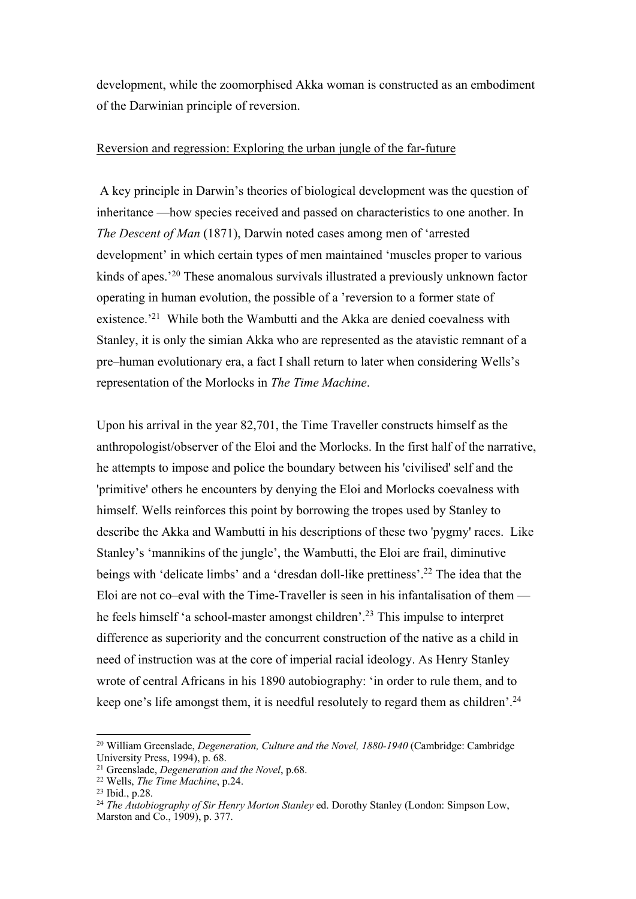development, while the zoomorphised Akka woman is constructed as an embodiment of the Darwinian principle of reversion.

#### Reversion and regression: Exploring the urban jungle of the far-future

A key principle in Darwin's theories of biological development was the question of inheritance —how species received and passed on characteristics to one another. In *The Descent of Man* (1871), Darwin noted cases among men of 'arrested development' in which certain types of men maintained 'muscles proper to various kinds of apes.'20 These anomalous survivals illustrated a previously unknown factor operating in human evolution, the possible of a 'reversion to a former state of existence.<sup>21</sup> While both the Wambutti and the Akka are denied coevalness with Stanley, it is only the simian Akka who are represented as the atavistic remnant of a pre–human evolutionary era, a fact I shall return to later when considering Wells's representation of the Morlocks in *The Time Machine*.

Upon his arrival in the year 82,701, the Time Traveller constructs himself as the anthropologist/observer of the Eloi and the Morlocks. In the first half of the narrative, he attempts to impose and police the boundary between his 'civilised' self and the 'primitive' others he encounters by denying the Eloi and Morlocks coevalness with himself. Wells reinforces this point by borrowing the tropes used by Stanley to describe the Akka and Wambutti in his descriptions of these two 'pygmy' races. Like Stanley's 'mannikins of the jungle', the Wambutti, the Eloi are frail, diminutive beings with 'delicate limbs' and a 'dresdan doll-like prettiness'.22 The idea that the Eloi are not co–eval with the Time-Traveller is seen in his infantalisation of them he feels himself 'a school-master amongst children'.23 This impulse to interpret difference as superiority and the concurrent construction of the native as a child in need of instruction was at the core of imperial racial ideology. As Henry Stanley wrote of central Africans in his 1890 autobiography: 'in order to rule them, and to keep one's life amongst them, it is needful resolutely to regard them as children'.24

<sup>20</sup> William Greenslade, *Degeneration, Culture and the Novel, 1880-1940* (Cambridge: Cambridge University Press, 1994), p. 68.

<sup>21</sup> Greenslade, *Degeneration and the Novel*, p.68.

<sup>22</sup> Wells, *The Time Machine*, p.24.

<sup>23</sup> Ibid., p.28.

<sup>&</sup>lt;sup>24</sup> The Autobiography of Sir Henry Morton Stanley ed. Dorothy Stanley (London: Simpson Low, Marston and Co., 1909), p. 377.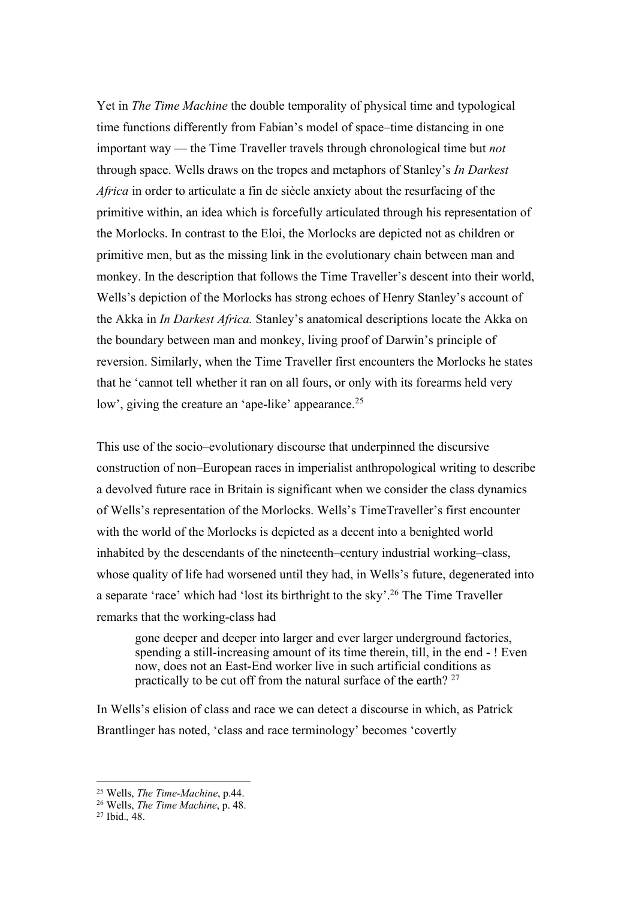Yet in *The Time Machine* the double temporality of physical time and typological time functions differently from Fabian's model of space–time distancing in one important way — the Time Traveller travels through chronological time but *not*  through space. Wells draws on the tropes and metaphors of Stanley's *In Darkest Africa* in order to articulate a fin de siècle anxiety about the resurfacing of the primitive within, an idea which is forcefully articulated through his representation of the Morlocks. In contrast to the Eloi, the Morlocks are depicted not as children or primitive men, but as the missing link in the evolutionary chain between man and monkey. In the description that follows the Time Traveller's descent into their world, Wells's depiction of the Morlocks has strong echoes of Henry Stanley's account of the Akka in *In Darkest Africa.* Stanley's anatomical descriptions locate the Akka on the boundary between man and monkey, living proof of Darwin's principle of reversion. Similarly, when the Time Traveller first encounters the Morlocks he states that he 'cannot tell whether it ran on all fours, or only with its forearms held very low', giving the creature an 'ape-like' appearance.<sup>25</sup>

This use of the socio–evolutionary discourse that underpinned the discursive construction of non–European races in imperialist anthropological writing to describe a devolved future race in Britain is significant when we consider the class dynamics of Wells's representation of the Morlocks. Wells's TimeTraveller's first encounter with the world of the Morlocks is depicted as a decent into a benighted world inhabited by the descendants of the nineteenth–century industrial working–class, whose quality of life had worsened until they had, in Wells's future, degenerated into a separate 'race' which had 'lost its birthright to the sky'.26 The Time Traveller remarks that the working-class had

gone deeper and deeper into larger and ever larger underground factories, spending a still-increasing amount of its time therein, till, in the end - ! Even now, does not an East-End worker live in such artificial conditions as practically to be cut off from the natural surface of the earth? 27

In Wells's elision of class and race we can detect a discourse in which, as Patrick Brantlinger has noted, 'class and race terminology' becomes 'covertly

 <sup>25</sup> Wells, *The Time-Machine*, p.44.

<sup>26</sup> Wells, *The Time Machine*, p. 48.

<sup>27</sup> Ibid.*,* 48.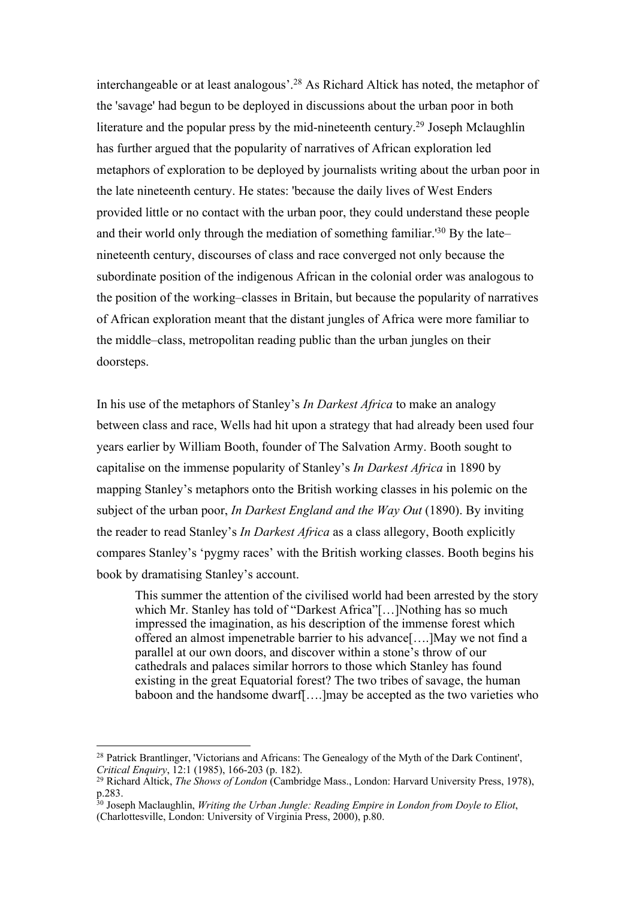interchangeable or at least analogous'.28 As Richard Altick has noted, the metaphor of the 'savage' had begun to be deployed in discussions about the urban poor in both literature and the popular press by the mid-nineteenth century.29 Joseph Mclaughlin has further argued that the popularity of narratives of African exploration led metaphors of exploration to be deployed by journalists writing about the urban poor in the late nineteenth century. He states: 'because the daily lives of West Enders provided little or no contact with the urban poor, they could understand these people and their world only through the mediation of something familiar.<sup>'30</sup> By the late– nineteenth century, discourses of class and race converged not only because the subordinate position of the indigenous African in the colonial order was analogous to the position of the working–classes in Britain, but because the popularity of narratives of African exploration meant that the distant jungles of Africa were more familiar to the middle–class, metropolitan reading public than the urban jungles on their doorsteps.

In his use of the metaphors of Stanley's *In Darkest Africa* to make an analogy between class and race, Wells had hit upon a strategy that had already been used four years earlier by William Booth, founder of The Salvation Army. Booth sought to capitalise on the immense popularity of Stanley's *In Darkest Africa* in 1890 by mapping Stanley's metaphors onto the British working classes in his polemic on the subject of the urban poor, *In Darkest England and the Way Out* (1890). By inviting the reader to read Stanley's *In Darkest Africa* as a class allegory, Booth explicitly compares Stanley's 'pygmy races' with the British working classes. Booth begins his book by dramatising Stanley's account.

This summer the attention of the civilised world had been arrested by the story which Mr. Stanley has told of "Darkest Africa"[...]Nothing has so much impressed the imagination, as his description of the immense forest which offered an almost impenetrable barrier to his advance[….]May we not find a parallel at our own doors, and discover within a stone's throw of our cathedrals and palaces similar horrors to those which Stanley has found existing in the great Equatorial forest? The two tribes of savage, the human baboon and the handsome dwarf[….]may be accepted as the two varieties who

<sup>28</sup> Patrick Brantlinger, 'Victorians and Africans: The Genealogy of the Myth of the Dark Continent', *Critical Enquiry*, 12:1 (1985), 166-203 (p. 182).

<sup>29</sup> Richard Altick, *The Shows of London* (Cambridge Mass., London: Harvard University Press, 1978), p.283.

<sup>30</sup> Joseph Maclaughlin, *Writing the Urban Jungle: Reading Empire in London from Doyle to Eliot*, (Charlottesville, London: University of Virginia Press, 2000), p.80.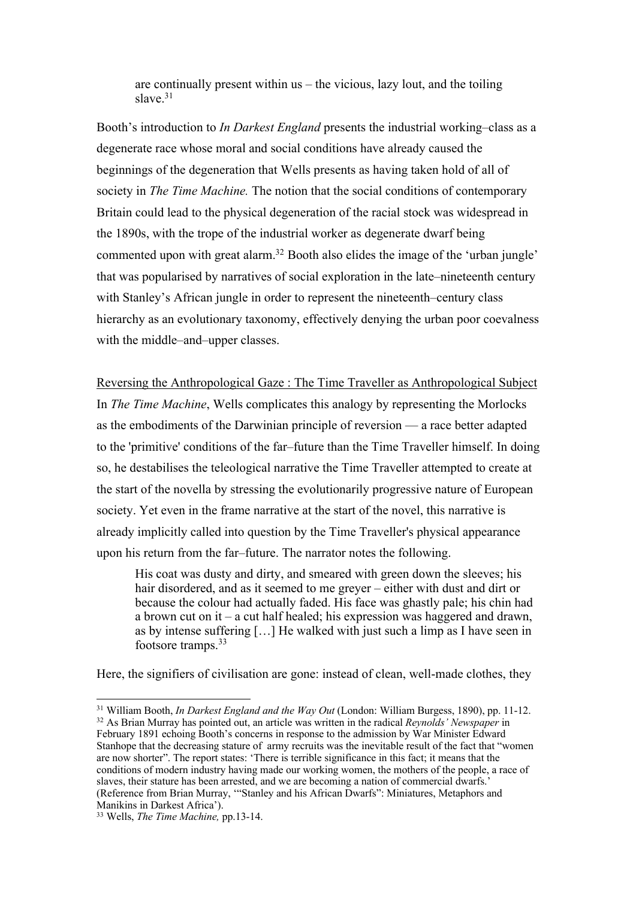are continually present within us – the vicious, lazy lout, and the toiling slave $31$ 

Booth's introduction to *In Darkest England* presents the industrial working–class as a degenerate race whose moral and social conditions have already caused the beginnings of the degeneration that Wells presents as having taken hold of all of society in *The Time Machine.* The notion that the social conditions of contemporary Britain could lead to the physical degeneration of the racial stock was widespread in the 1890s, with the trope of the industrial worker as degenerate dwarf being commented upon with great alarm.<sup>32</sup> Booth also elides the image of the 'urban jungle' that was popularised by narratives of social exploration in the late–nineteenth century with Stanley's African jungle in order to represent the nineteenth–century class hierarchy as an evolutionary taxonomy, effectively denying the urban poor coevalness with the middle–and–upper classes.

Reversing the Anthropological Gaze : The Time Traveller as Anthropological Subject In *The Time Machine*, Wells complicates this analogy by representing the Morlocks as the embodiments of the Darwinian principle of reversion — a race better adapted to the 'primitive' conditions of the far–future than the Time Traveller himself. In doing so, he destabilises the teleological narrative the Time Traveller attempted to create at the start of the novella by stressing the evolutionarily progressive nature of European society. Yet even in the frame narrative at the start of the novel, this narrative is already implicitly called into question by the Time Traveller's physical appearance upon his return from the far–future. The narrator notes the following.

His coat was dusty and dirty, and smeared with green down the sleeves; his hair disordered, and as it seemed to me greyer – either with dust and dirt or because the colour had actually faded. His face was ghastly pale; his chin had a brown cut on it – a cut half healed; his expression was haggered and drawn, as by intense suffering […] He walked with just such a limp as I have seen in footsore tramps.33

Here, the signifiers of civilisation are gone: instead of clean, well-made clothes, they

 <sup>31</sup> William Booth, *In Darkest England and the Way Out* (London: William Burgess, 1890), pp. 11-12. <sup>32</sup> As Brian Murray has pointed out, an article was written in the radical *Reynolds' Newspaper* in February 1891 echoing Booth's concerns in response to the admission by War Minister Edward Stanhope that the decreasing stature of army recruits was the inevitable result of the fact that "women are now shorter". The report states: 'There is terrible significance in this fact; it means that the conditions of modern industry having made our working women, the mothers of the people, a race of slaves, their stature has been arrested, and we are becoming a nation of commercial dwarfs.' (Reference from Brian Murray, '"Stanley and his African Dwarfs": Miniatures, Metaphors and Manikins in Darkest Africa').

<sup>33</sup> Wells, *The Time Machine,* pp.13-14.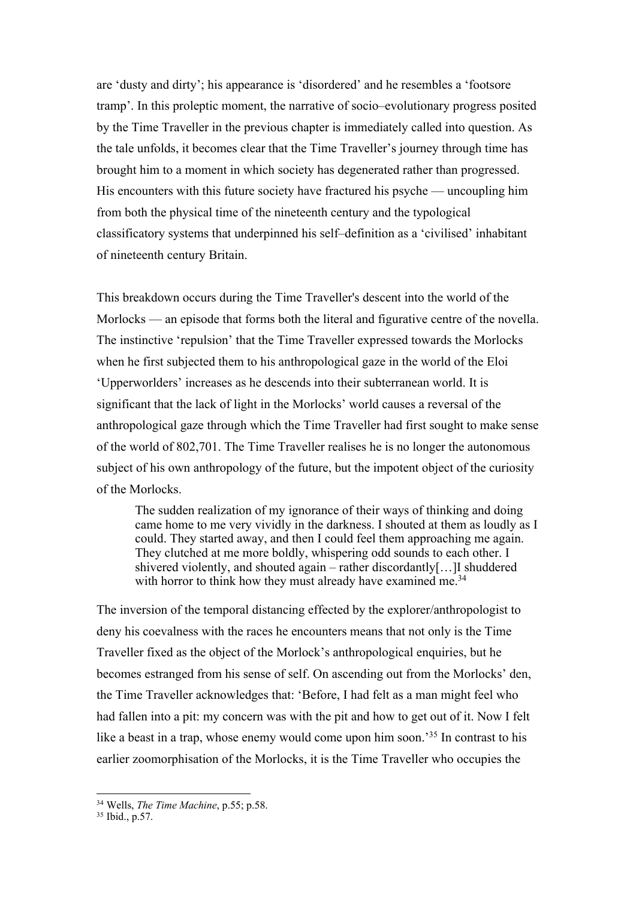are 'dusty and dirty'; his appearance is 'disordered' and he resembles a 'footsore tramp'. In this proleptic moment, the narrative of socio–evolutionary progress posited by the Time Traveller in the previous chapter is immediately called into question. As the tale unfolds, it becomes clear that the Time Traveller's journey through time has brought him to a moment in which society has degenerated rather than progressed. His encounters with this future society have fractured his psyche — uncoupling him from both the physical time of the nineteenth century and the typological classificatory systems that underpinned his self–definition as a 'civilised' inhabitant of nineteenth century Britain.

This breakdown occurs during the Time Traveller's descent into the world of the Morlocks — an episode that forms both the literal and figurative centre of the novella. The instinctive 'repulsion' that the Time Traveller expressed towards the Morlocks when he first subjected them to his anthropological gaze in the world of the Eloi 'Upperworlders' increases as he descends into their subterranean world. It is significant that the lack of light in the Morlocks' world causes a reversal of the anthropological gaze through which the Time Traveller had first sought to make sense of the world of 802,701. The Time Traveller realises he is no longer the autonomous subject of his own anthropology of the future, but the impotent object of the curiosity of the Morlocks.

The sudden realization of my ignorance of their ways of thinking and doing came home to me very vividly in the darkness. I shouted at them as loudly as I could. They started away, and then I could feel them approaching me again. They clutched at me more boldly, whispering odd sounds to each other. I shivered violently, and shouted again – rather discordantly[…]I shuddered with horror to think how they must already have examined me.<sup>34</sup>

The inversion of the temporal distancing effected by the explorer/anthropologist to deny his coevalness with the races he encounters means that not only is the Time Traveller fixed as the object of the Morlock's anthropological enquiries, but he becomes estranged from his sense of self. On ascending out from the Morlocks' den, the Time Traveller acknowledges that: 'Before, I had felt as a man might feel who had fallen into a pit: my concern was with the pit and how to get out of it. Now I felt like a beast in a trap, whose enemy would come upon him soon.<sup>35</sup> In contrast to his earlier zoomorphisation of the Morlocks, it is the Time Traveller who occupies the

<sup>34</sup> Wells, *The Time Machine*, p.55; p.58.

<sup>35</sup> Ibid., p.57.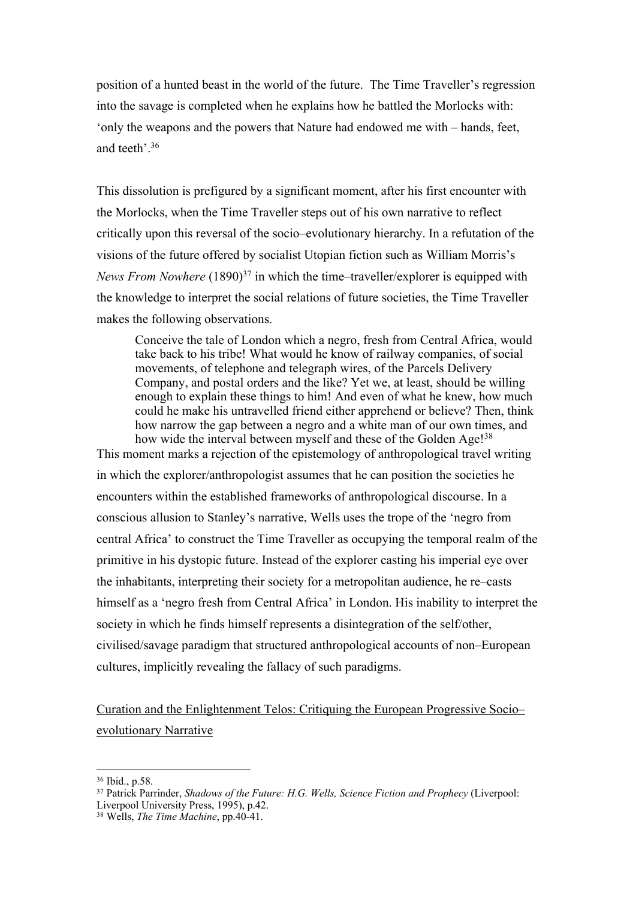position of a hunted beast in the world of the future. The Time Traveller's regression into the savage is completed when he explains how he battled the Morlocks with: 'only the weapons and the powers that Nature had endowed me with – hands, feet, and teeth'.36

This dissolution is prefigured by a significant moment, after his first encounter with the Morlocks, when the Time Traveller steps out of his own narrative to reflect critically upon this reversal of the socio–evolutionary hierarchy. In a refutation of the visions of the future offered by socialist Utopian fiction such as William Morris's *News From Nowhere* (1890)<sup>37</sup> in which the time–traveller/explorer is equipped with the knowledge to interpret the social relations of future societies, the Time Traveller makes the following observations.

Conceive the tale of London which a negro, fresh from Central Africa, would take back to his tribe! What would he know of railway companies, of social movements, of telephone and telegraph wires, of the Parcels Delivery Company, and postal orders and the like? Yet we, at least, should be willing enough to explain these things to him! And even of what he knew, how much could he make his untravelled friend either apprehend or believe? Then, think how narrow the gap between a negro and a white man of our own times, and how wide the interval between myself and these of the Golden Age!<sup>38</sup>

This moment marks a rejection of the epistemology of anthropological travel writing in which the explorer/anthropologist assumes that he can position the societies he encounters within the established frameworks of anthropological discourse. In a conscious allusion to Stanley's narrative, Wells uses the trope of the 'negro from central Africa' to construct the Time Traveller as occupying the temporal realm of the primitive in his dystopic future. Instead of the explorer casting his imperial eye over the inhabitants, interpreting their society for a metropolitan audience, he re–casts himself as a 'negro fresh from Central Africa' in London. His inability to interpret the society in which he finds himself represents a disintegration of the self/other, civilised/savage paradigm that structured anthropological accounts of non–European cultures, implicitly revealing the fallacy of such paradigms.

Curation and the Enlightenment Telos: Critiquing the European Progressive Socio– evolutionary Narrative

<sup>36</sup> Ibid., p.58.

<sup>37</sup> Patrick Parrinder, *Shadows of the Future: H.G. Wells, Science Fiction and Prophecy* (Liverpool: Liverpool University Press, 1995), p.42.

<sup>38</sup> Wells, *The Time Machine*, pp.40-41.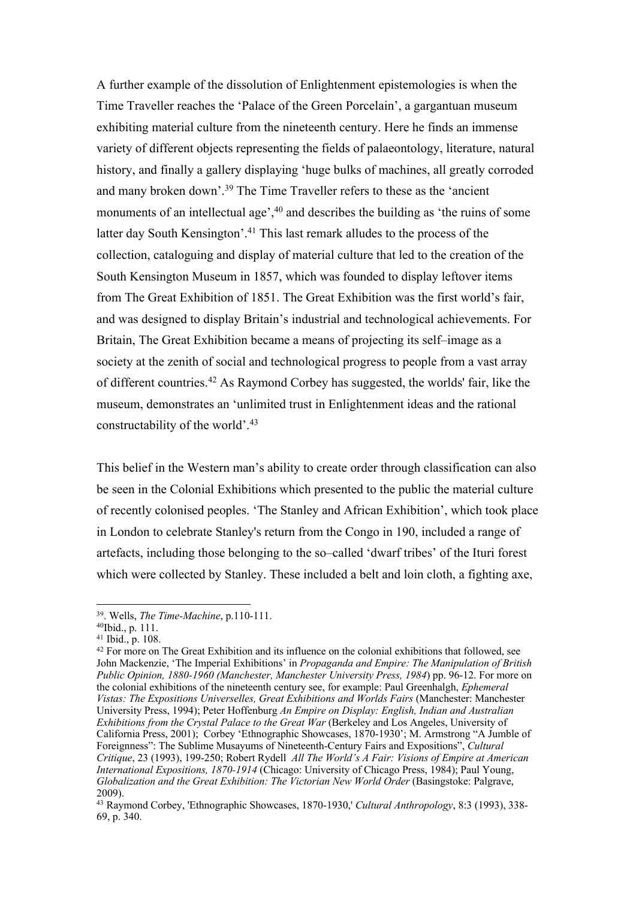A further example of the dissolution of Enlightenment epistemologies is when the Time Traveller reaches the 'Palace of the Green Porcelain', a gargantuan museum exhibiting material culture from the nineteenth century. Here he finds an immense variety of different objects representing the fields of palaeontology, literature, natural history, and finally a gallery displaying 'huge bulks of machines, all greatly corroded and many broken down'.39 The Time Traveller refers to these as the 'ancient monuments of an intellectual age',<sup>40</sup> and describes the building as 'the ruins of some latter day South Kensington'.<sup>41</sup> This last remark alludes to the process of the collection, cataloguing and display of material culture that led to the creation of the South Kensington Museum in 1857, which was founded to display leftover items from The Great Exhibition of 1851. The Great Exhibition was the first world's fair, and was designed to display Britain's industrial and technological achievements. For Britain, The Great Exhibition became a means of projecting its self–image as a society at the zenith of social and technological progress to people from a vast array of different countries.42 As Raymond Corbey has suggested, the worlds' fair, like the museum, demonstrates an 'unlimited trust in Enlightenment ideas and the rational constructability of the world'. 43

This belief in the Western man's ability to create order through classification can also be seen in the Colonial Exhibitions which presented to the public the material culture of recently colonised peoples. 'The Stanley and African Exhibition', which took place in London to celebrate Stanley's return from the Congo in 190, included a range of artefacts, including those belonging to the so–called 'dwarf tribes' of the Ituri forest which were collected by Stanley. These included a belt and loin cloth, a fighting axe,

<sup>39.</sup> Wells, *The Time-Machine*, p.110-111.

<sup>40</sup>Ibid., p. 111.

<sup>41</sup> Ibid., p. 108.

<sup>&</sup>lt;sup>42</sup> For more on The Great Exhibition and its influence on the colonial exhibitions that followed, see John Mackenzie, 'The Imperial Exhibitions' in *Propaganda and Empire: The Manipulation of British Public Opinion, 1880-1960 (Manchester, Manchester University Press, 1984*) pp. 96-12. For more on the colonial exhibitions of the nineteenth century see, for example: Paul Greenhalgh, *Ephemeral Vistas: The Expositions Universelles, Great Exhibitions and Worlds Fairs* (Manchester: Manchester University Press, 1994); Peter Hoffenburg *An Empire on Display: English, Indian and Australian Exhibitions from the Crystal Palace to the Great War* (Berkeley and Los Angeles, University of California Press, 2001); Corbey 'Ethnographic Showcases, 1870-1930'; M. Armstrong "A Jumble of Foreignness": The Sublime Musayums of Nineteenth-Century Fairs and Expositions", *Cultural Critique*, 23 (1993), 199-250; Robert Rydell *All The World's A Fair: Visions of Empire at American International Expositions, 1870-1914* (Chicago: University of Chicago Press, 1984); Paul Young, *Globalization and the Great Exhibition: The Victorian New World Order* (Basingstoke: Palgrave, 2009).

<sup>43</sup> Raymond Corbey, 'Ethnographic Showcases, 1870-1930,' *Cultural Anthropology*, 8:3 (1993), 338- 69, p. 340.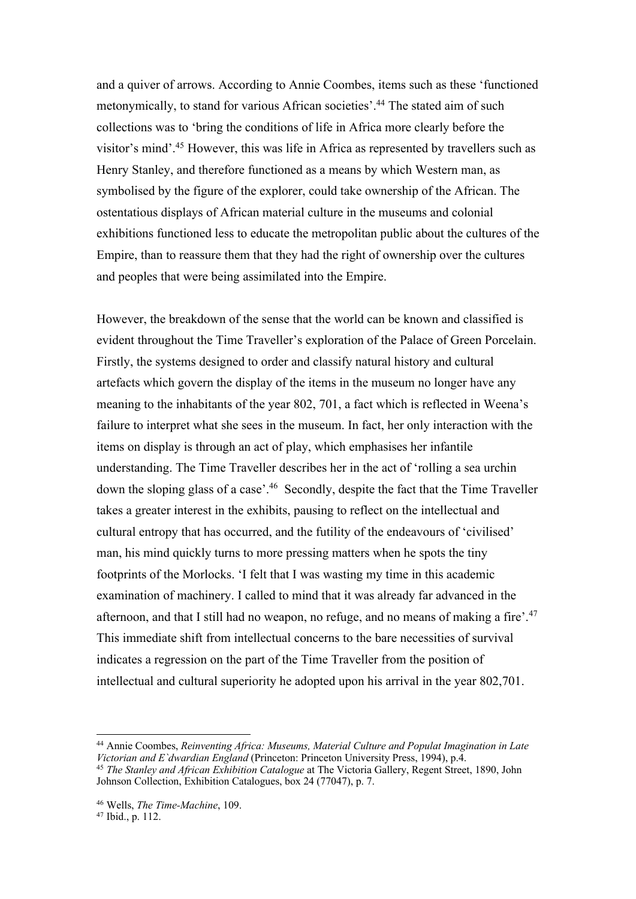and a quiver of arrows. According to Annie Coombes, items such as these 'functioned metonymically, to stand for various African societies'. <sup>44</sup> The stated aim of such collections was to 'bring the conditions of life in Africa more clearly before the visitor's mind'.45 However, this was life in Africa as represented by travellers such as Henry Stanley, and therefore functioned as a means by which Western man, as symbolised by the figure of the explorer, could take ownership of the African. The ostentatious displays of African material culture in the museums and colonial exhibitions functioned less to educate the metropolitan public about the cultures of the Empire, than to reassure them that they had the right of ownership over the cultures and peoples that were being assimilated into the Empire.

However, the breakdown of the sense that the world can be known and classified is evident throughout the Time Traveller's exploration of the Palace of Green Porcelain. Firstly, the systems designed to order and classify natural history and cultural artefacts which govern the display of the items in the museum no longer have any meaning to the inhabitants of the year 802, 701, a fact which is reflected in Weena's failure to interpret what she sees in the museum. In fact, her only interaction with the items on display is through an act of play, which emphasises her infantile understanding. The Time Traveller describes her in the act of 'rolling a sea urchin down the sloping glass of a case'.46 Secondly, despite the fact that the Time Traveller takes a greater interest in the exhibits, pausing to reflect on the intellectual and cultural entropy that has occurred, and the futility of the endeavours of 'civilised' man, his mind quickly turns to more pressing matters when he spots the tiny footprints of the Morlocks. 'I felt that I was wasting my time in this academic examination of machinery. I called to mind that it was already far advanced in the afternoon, and that I still had no weapon, no refuge, and no means of making a fire'.<sup>47</sup> This immediate shift from intellectual concerns to the bare necessities of survival indicates a regression on the part of the Time Traveller from the position of intellectual and cultural superiority he adopted upon his arrival in the year 802,701.

<sup>44</sup> Annie Coombes, *Reinventing Africa: Museums, Material Culture and Populat Imagination in Late Victorian and E`dwardian England* (Princeton: Princeton University Press, 1994), p.4. <sup>45</sup> *The Stanley and African Exhibition Catalogue* at The Victoria Gallery, Regent Street, 1890, John Johnson Collection, Exhibition Catalogues, box 24 (77047), p. 7.

<sup>46</sup> Wells, *The Time-Machine*, 109.

<sup>47</sup> Ibid., p. 112.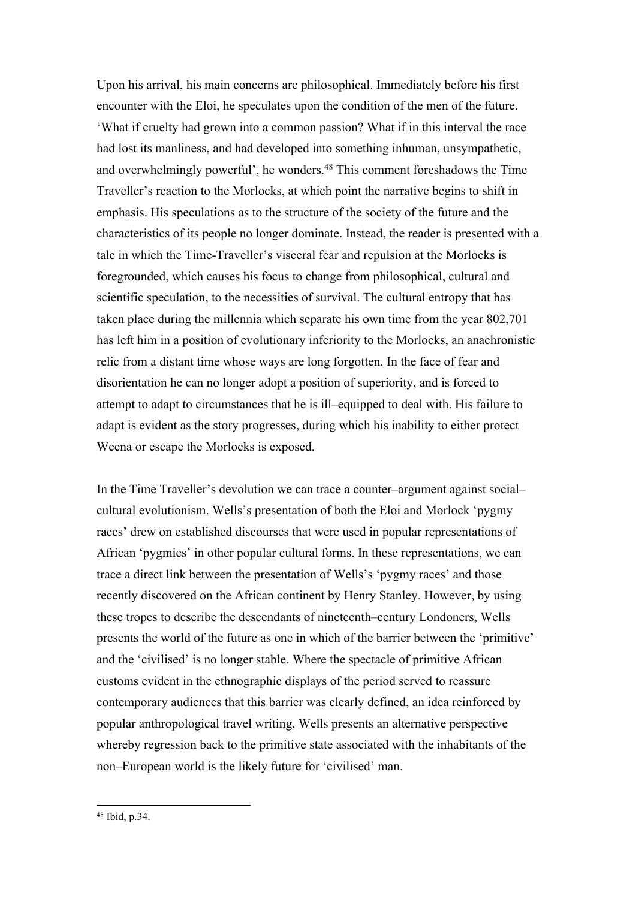Upon his arrival, his main concerns are philosophical. Immediately before his first encounter with the Eloi, he speculates upon the condition of the men of the future. 'What if cruelty had grown into a common passion? What if in this interval the race had lost its manliness, and had developed into something inhuman, unsympathetic, and overwhelmingly powerful', he wonders. <sup>48</sup> This comment foreshadows the Time Traveller's reaction to the Morlocks, at which point the narrative begins to shift in emphasis. His speculations as to the structure of the society of the future and the characteristics of its people no longer dominate. Instead, the reader is presented with a tale in which the Time-Traveller's visceral fear and repulsion at the Morlocks is foregrounded, which causes his focus to change from philosophical, cultural and scientific speculation, to the necessities of survival. The cultural entropy that has taken place during the millennia which separate his own time from the year 802,701 has left him in a position of evolutionary inferiority to the Morlocks, an anachronistic relic from a distant time whose ways are long forgotten. In the face of fear and disorientation he can no longer adopt a position of superiority, and is forced to attempt to adapt to circumstances that he is ill–equipped to deal with. His failure to adapt is evident as the story progresses, during which his inability to either protect Weena or escape the Morlocks is exposed.

In the Time Traveller's devolution we can trace a counter–argument against social– cultural evolutionism. Wells's presentation of both the Eloi and Morlock 'pygmy races' drew on established discourses that were used in popular representations of African 'pygmies' in other popular cultural forms. In these representations, we can trace a direct link between the presentation of Wells's 'pygmy races' and those recently discovered on the African continent by Henry Stanley. However, by using these tropes to describe the descendants of nineteenth–century Londoners, Wells presents the world of the future as one in which of the barrier between the 'primitive' and the 'civilised' is no longer stable. Where the spectacle of primitive African customs evident in the ethnographic displays of the period served to reassure contemporary audiences that this barrier was clearly defined, an idea reinforced by popular anthropological travel writing, Wells presents an alternative perspective whereby regression back to the primitive state associated with the inhabitants of the non–European world is the likely future for 'civilised' man.

<sup>48</sup> Ibid, p.34.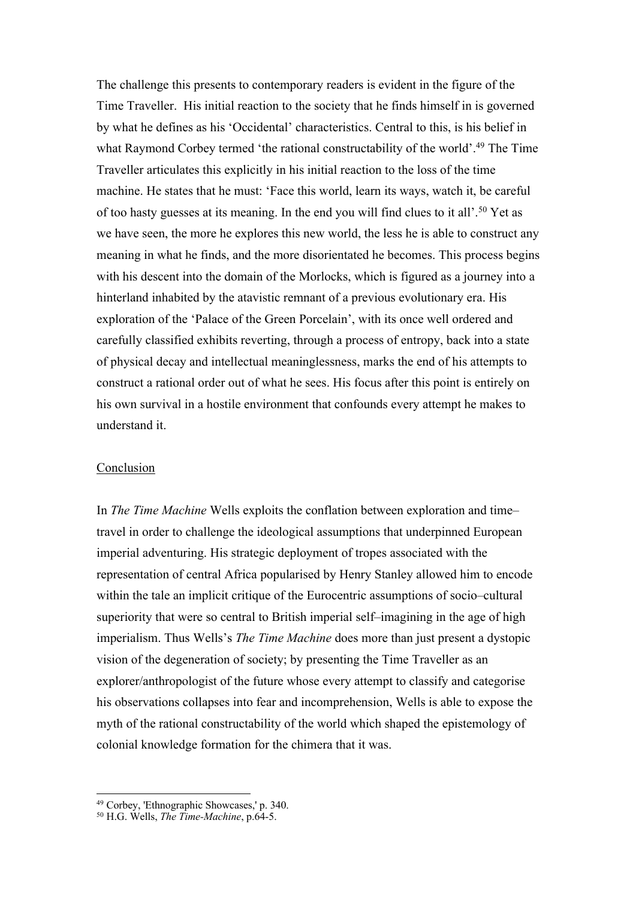The challenge this presents to contemporary readers is evident in the figure of the Time Traveller. His initial reaction to the society that he finds himself in is governed by what he defines as his 'Occidental' characteristics. Central to this, is his belief in what Raymond Corbey termed 'the rational constructability of the world'.<sup>49</sup> The Time Traveller articulates this explicitly in his initial reaction to the loss of the time machine. He states that he must: 'Face this world, learn its ways, watch it, be careful of too hasty guesses at its meaning. In the end you will find clues to it all'.50 Yet as we have seen, the more he explores this new world, the less he is able to construct any meaning in what he finds, and the more disorientated he becomes. This process begins with his descent into the domain of the Morlocks, which is figured as a journey into a hinterland inhabited by the atavistic remnant of a previous evolutionary era. His exploration of the 'Palace of the Green Porcelain', with its once well ordered and carefully classified exhibits reverting, through a process of entropy, back into a state of physical decay and intellectual meaninglessness, marks the end of his attempts to construct a rational order out of what he sees. His focus after this point is entirely on his own survival in a hostile environment that confounds every attempt he makes to understand it.

#### Conclusion

In *The Time Machine* Wells exploits the conflation between exploration and time– travel in order to challenge the ideological assumptions that underpinned European imperial adventuring. His strategic deployment of tropes associated with the representation of central Africa popularised by Henry Stanley allowed him to encode within the tale an implicit critique of the Eurocentric assumptions of socio–cultural superiority that were so central to British imperial self–imagining in the age of high imperialism. Thus Wells's *The Time Machine* does more than just present a dystopic vision of the degeneration of society; by presenting the Time Traveller as an explorer/anthropologist of the future whose every attempt to classify and categorise his observations collapses into fear and incomprehension, Wells is able to expose the myth of the rational constructability of the world which shaped the epistemology of colonial knowledge formation for the chimera that it was.

<sup>49</sup> Corbey, 'Ethnographic Showcases,' p. 340.

<sup>50</sup> H.G. Wells, *The Time-Machine*, p.64-5.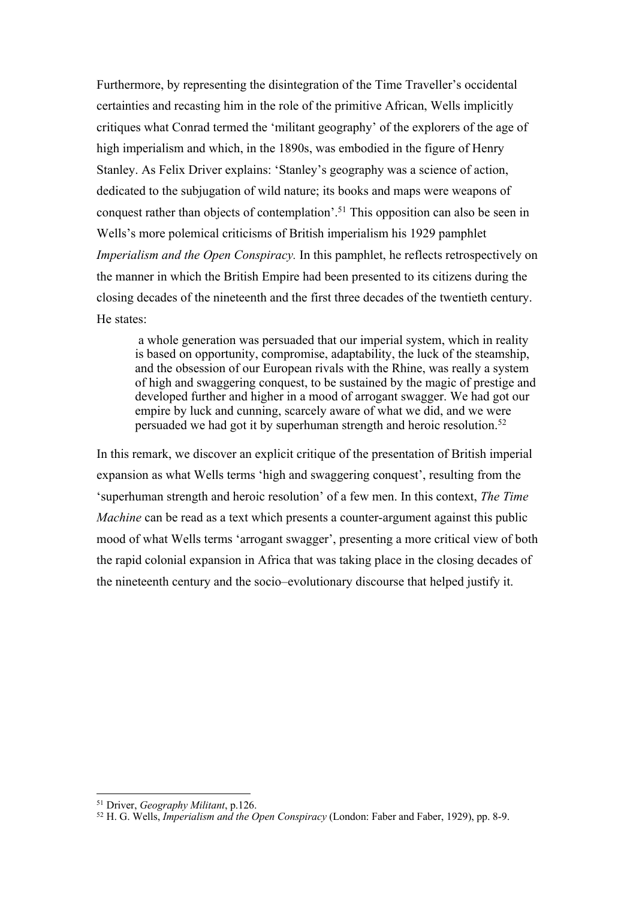Furthermore, by representing the disintegration of the Time Traveller's occidental certainties and recasting him in the role of the primitive African, Wells implicitly critiques what Conrad termed the 'militant geography' of the explorers of the age of high imperialism and which, in the 1890s, was embodied in the figure of Henry Stanley. As Felix Driver explains: 'Stanley's geography was a science of action, dedicated to the subjugation of wild nature; its books and maps were weapons of conquest rather than objects of contemplation'.51 This opposition can also be seen in Wells's more polemical criticisms of British imperialism his 1929 pamphlet *Imperialism and the Open Conspiracy.* In this pamphlet, he reflects retrospectively on the manner in which the British Empire had been presented to its citizens during the closing decades of the nineteenth and the first three decades of the twentieth century. He states:

a whole generation was persuaded that our imperial system, which in reality is based on opportunity, compromise, adaptability, the luck of the steamship, and the obsession of our European rivals with the Rhine, was really a system of high and swaggering conquest, to be sustained by the magic of prestige and developed further and higher in a mood of arrogant swagger. We had got our empire by luck and cunning, scarcely aware of what we did, and we were persuaded we had got it by superhuman strength and heroic resolution.<sup>52</sup>

In this remark, we discover an explicit critique of the presentation of British imperial expansion as what Wells terms 'high and swaggering conquest', resulting from the 'superhuman strength and heroic resolution' of a few men. In this context, *The Time Machine* can be read as a text which presents a counter-argument against this public mood of what Wells terms 'arrogant swagger', presenting a more critical view of both the rapid colonial expansion in Africa that was taking place in the closing decades of the nineteenth century and the socio–evolutionary discourse that helped justify it.

 <sup>51</sup> Driver, *Geography Militant*, p.126.

<sup>52</sup> H. G. Wells, *Imperialism and the Open Conspiracy* (London: Faber and Faber, 1929), pp. 8-9.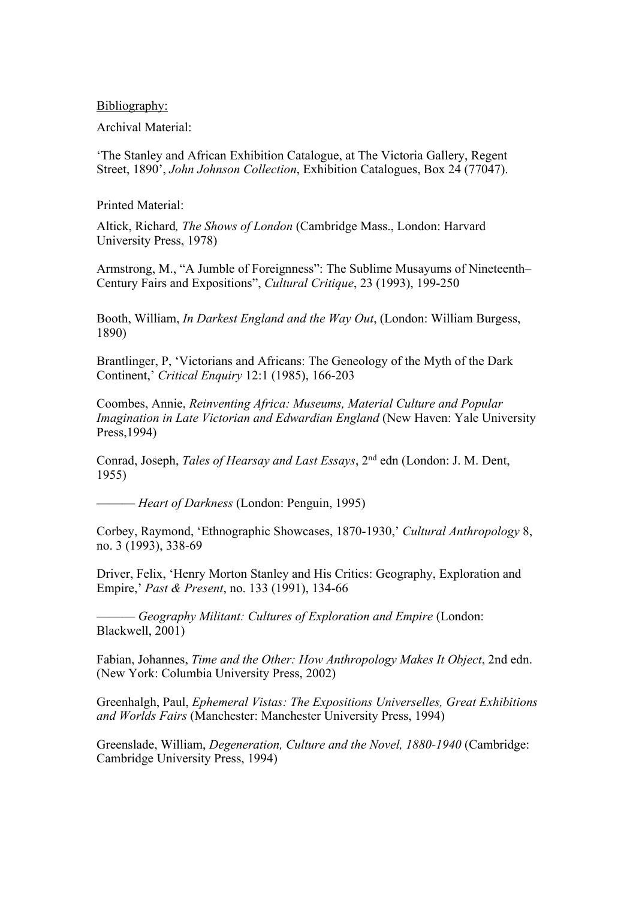Bibliography:

Archival Material:

'The Stanley and African Exhibition Catalogue, at The Victoria Gallery, Regent Street, 1890', *John Johnson Collection*, Exhibition Catalogues, Box 24 (77047).

Printed Material:

Altick, Richard*, The Shows of London* (Cambridge Mass., London: Harvard University Press, 1978)

Armstrong, M., "A Jumble of Foreignness": The Sublime Musayums of Nineteenth– Century Fairs and Expositions", *Cultural Critique*, 23 (1993), 199-250

Booth, William, *In Darkest England and the Way Out*, (London: William Burgess, 1890)

Brantlinger, P, 'Victorians and Africans: The Geneology of the Myth of the Dark Continent,' *Critical Enquiry* 12:1 (1985), 166-203

Coombes, Annie, *Reinventing Africa: Museums, Material Culture and Popular Imagination in Late Victorian and Edwardian England* (New Haven: Yale University Press,1994)

Conrad, Joseph, *Tales of Hearsay and Last Essays*, 2nd edn (London: J. M. Dent, 1955)

——— *Heart of Darkness* (London: Penguin, 1995)

Corbey, Raymond, 'Ethnographic Showcases, 1870-1930,' *Cultural Anthropology* 8, no. 3 (1993), 338-69

Driver, Felix, 'Henry Morton Stanley and His Critics: Geography, Exploration and Empire,' *Past & Present*, no. 133 (1991), 134-66

——— *Geography Militant: Cultures of Exploration and Empire* (London: Blackwell, 2001)

Fabian, Johannes, *Time and the Other: How Anthropology Makes It Object*, 2nd edn. (New York: Columbia University Press, 2002)

Greenhalgh, Paul, *Ephemeral Vistas: The Expositions Universelles, Great Exhibitions and Worlds Fairs* (Manchester: Manchester University Press, 1994)

Greenslade, William, *Degeneration, Culture and the Novel, 1880-1940* (Cambridge: Cambridge University Press, 1994)